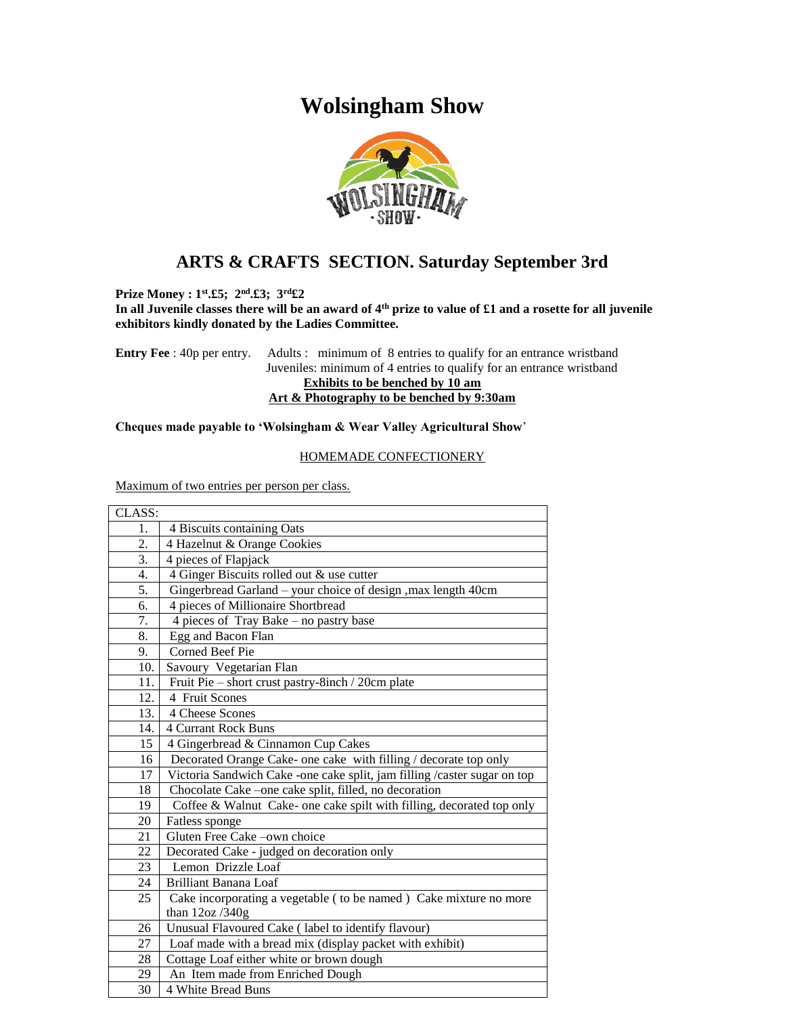# **Wolsingham Show**



# **ARTS & CRAFTS SECTION. Saturday September 3rd**

**Prize Money : 1st.£5; 2nd.£3; 3rd£2** 

**In all Juvenile classes there will be an award of 4th prize to value of £1 and a rosette for all juvenile exhibitors kindly donated by the Ladies Committee.**

**Entry Fee** : 40p per entry. Adults : minimum of 8 entries to qualify for an entrance wristband Juveniles: minimum of 4 entries to qualify for an entrance wristband **Exhibits to be benched by 10 am Art & Photography to be benched by 9:30am**

#### **Cheques made payable to 'Wolsingham & Wear Valley Agricultural Show**'

#### HOMEMADE CONFECTIONERY

Maximum of two entries per person per class.

| CLASS: |                                                                          |
|--------|--------------------------------------------------------------------------|
| 1.     | 4 Biscuits containing Oats                                               |
| 2.     | 4 Hazelnut & Orange Cookies                                              |
| 3.     | 4 pieces of Flapjack                                                     |
| 4.     | 4 Ginger Biscuits rolled out & use cutter                                |
| 5.     | Gingerbread Garland - your choice of design , max length 40cm            |
| 6.     | 4 pieces of Millionaire Shortbread                                       |
| 7.     | 4 pieces of Tray Bake - no pastry base                                   |
| 8.     | Egg and Bacon Flan                                                       |
| 9.     | <b>Corned Beef Pie</b>                                                   |
| 10.    | Savoury Vegetarian Flan                                                  |
| 11.    | Fruit Pie – short crust pastry-8inch / 20cm plate                        |
| 12.    | 4 Fruit Scones                                                           |
| 13.    | 4 Cheese Scones                                                          |
| 14.    | <b>4 Currant Rock Buns</b>                                               |
| 15     | 4 Gingerbread & Cinnamon Cup Cakes                                       |
| 16     | Decorated Orange Cake- one cake with filling / decorate top only         |
| 17     | Victoria Sandwich Cake -one cake split, jam filling /caster sugar on top |
| 18     | Chocolate Cake -one cake split, filled, no decoration                    |
| 19     | Coffee & Walnut Cake- one cake spilt with filling, decorated top only    |
| 20     | Fatless sponge                                                           |
| 21     | Gluten Free Cake -own choice                                             |
| 22     | Decorated Cake - judged on decoration only                               |
| 23     | Lemon Drizzle Loaf                                                       |
| 24     | <b>Brilliant Banana Loaf</b>                                             |
| 25     | Cake incorporating a vegetable ( to be named ) Cake mixture no more      |
|        | than $12oz/340g$                                                         |
| 26     | Unusual Flavoured Cake (label to identify flavour)                       |
| 27     | Loaf made with a bread mix (display packet with exhibit)                 |
| 28     | Cottage Loaf either white or brown dough                                 |
| 29     | An Item made from Enriched Dough                                         |
| 30     | 4 White Bread Buns                                                       |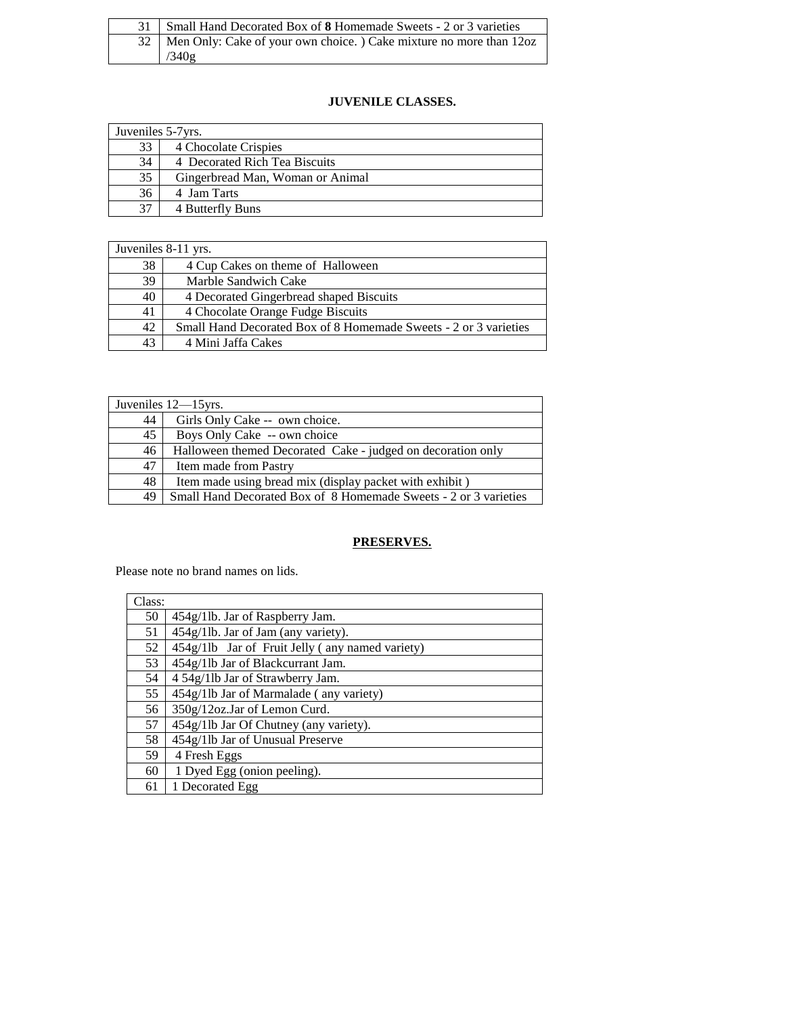| 31   Small Hand Decorated Box of <b>8</b> Homemade Sweets - 2 or 3 varieties |
|------------------------------------------------------------------------------|
| 32   Men Only: Cake of your own choice. ) Cake mixture no more than 12oz     |
| /340g                                                                        |

## **JUVENILE CLASSES.**

| Juveniles 5-7yrs. |                                  |
|-------------------|----------------------------------|
| 33                | 4 Chocolate Crispies             |
| 34                | 4 Decorated Rich Tea Biscuits    |
| 35                | Gingerbread Man, Woman or Animal |
| 36                | 4 Jam Tarts                      |
| 37                | 4 Butterfly Buns                 |

| Juveniles 8-11 yrs. |                                                                  |
|---------------------|------------------------------------------------------------------|
| 38                  | 4 Cup Cakes on theme of Halloween                                |
| 39                  | Marble Sandwich Cake                                             |
| 40                  | 4 Decorated Gingerbread shaped Biscuits                          |
| 41                  | 4 Chocolate Orange Fudge Biscuits                                |
| 42                  | Small Hand Decorated Box of 8 Homemade Sweets - 2 or 3 varieties |
| 43                  | 4 Mini Jaffa Cakes                                               |

| Juveniles 12-15yrs. |                                                                  |
|---------------------|------------------------------------------------------------------|
| 44                  | Girls Only Cake -- own choice.                                   |
| 45                  | Boys Only Cake -- own choice                                     |
| 46                  | Halloween themed Decorated Cake - judged on decoration only      |
| 47                  | Item made from Pastry                                            |
| 48                  | Item made using bread mix (display packet with exhibit)          |
| 49                  | Small Hand Decorated Box of 8 Homemade Sweets - 2 or 3 varieties |

## **PRESERVES.**

Please note no brand names on lids.

| Class: |                                                 |
|--------|-------------------------------------------------|
| 50     | 454g/1lb. Jar of Raspberry Jam.                 |
| 51     | 454g/1lb. Jar of Jam (any variety).             |
| 52     | 454g/11b Jar of Fruit Jelly (any named variety) |
| 53     | 454g/1lb Jar of Blackcurrant Jam.               |
| 54     | 4 54g/11b Jar of Strawberry Jam.                |
| 55     | 454g/1lb Jar of Marmalade (any variety)         |
| 56     | 350g/12oz.Jar of Lemon Curd.                    |
| 57     | 454g/1lb Jar Of Chutney (any variety).          |
| 58     | 454g/1lb Jar of Unusual Preserve                |
| 59     | 4 Fresh Eggs                                    |
| 60     | 1 Dyed Egg (onion peeling).                     |
| 61     | 1 Decorated Egg                                 |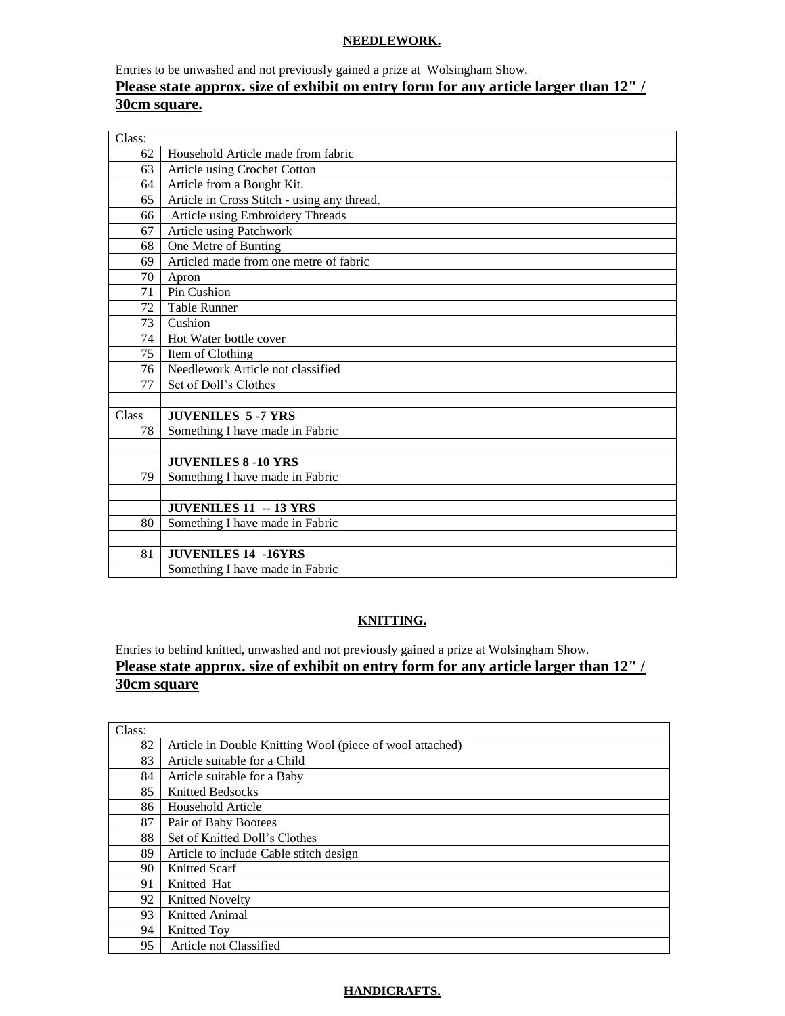#### **NEEDLEWORK.**

# Entries to be unwashed and not previously gained a prize at Wolsingham Show. **Please state approx. size of exhibit on entry form for any article larger than 12" / 30cm square.**

| Class: |                                             |
|--------|---------------------------------------------|
| 62     | Household Article made from fabric          |
| 63     | Article using Crochet Cotton                |
| 64     | Article from a Bought Kit.                  |
| 65     | Article in Cross Stitch - using any thread. |
| 66     | Article using Embroidery Threads            |
| 67     | Article using Patchwork                     |
| 68     | One Metre of Bunting                        |
| 69     | Articled made from one metre of fabric      |
| 70     | Apron                                       |
| 71     | Pin Cushion                                 |
| 72     | <b>Table Runner</b>                         |
| 73     | Cushion                                     |
| 74     | Hot Water bottle cover                      |
| 75     | Item of Clothing                            |
| 76     | Needlework Article not classified           |
| 77     | Set of Doll's Clothes                       |
|        |                                             |
| Class  | <b>JUVENILES 5-7 YRS</b>                    |
| 78     | Something I have made in Fabric             |
|        |                                             |
|        | <b>JUVENILES 8 -10 YRS</b>                  |
| 79     | Something I have made in Fabric             |
|        |                                             |
|        | <b>JUVENILES 11 -- 13 YRS</b>               |
| 80     | Something I have made in Fabric             |
|        |                                             |
| 81     | <b>JUVENILES 14 -16YRS</b>                  |
|        | Something I have made in Fabric             |

## **KNITTING.**

Entries to behind knitted, unwashed and not previously gained a prize at Wolsingham Show. Please state approx. size of exhibit on entry form for any article larger than 12" / **30cm square**

| Class: |                                                          |
|--------|----------------------------------------------------------|
| 82     | Article in Double Knitting Wool (piece of wool attached) |
| 83     | Article suitable for a Child                             |
| 84     | Article suitable for a Baby                              |
| 85     | <b>Knitted Bedsocks</b>                                  |
| 86     | Household Article                                        |
| 87     | Pair of Baby Bootees                                     |
| 88     | Set of Knitted Doll's Clothes                            |
| 89     | Article to include Cable stitch design                   |
| 90     | Knitted Scarf                                            |
| 91     | Knitted Hat                                              |
| 92     | <b>Knitted Novelty</b>                                   |
| 93     | Knitted Animal                                           |
| 94     | Knitted Toy                                              |
| 95     | Article not Classified                                   |

## **HANDICRAFTS.**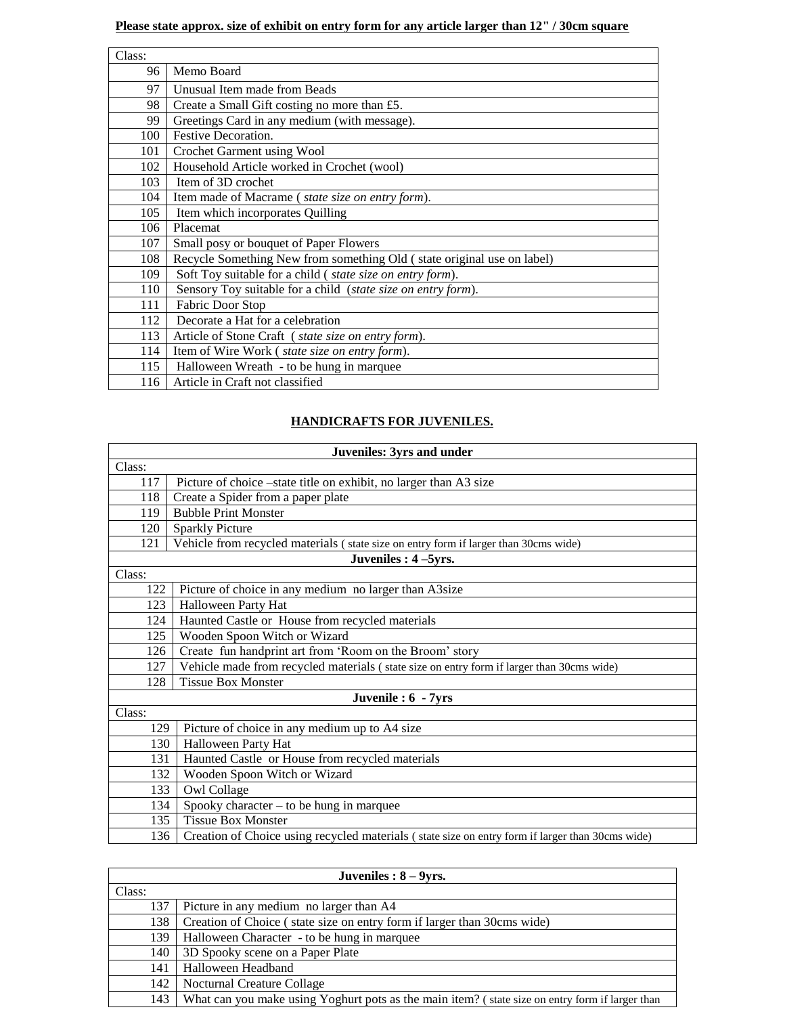## **Please state approx. size of exhibit on entry form for any article larger than 12" / 30cm square**

| Class: |                                                                        |
|--------|------------------------------------------------------------------------|
| 96     | Memo Board                                                             |
| 97     | Unusual Item made from Beads                                           |
| 98     | Create a Small Gift costing no more than £5.                           |
| 99     | Greetings Card in any medium (with message).                           |
| 100    | Festive Decoration.                                                    |
| 101    | Crochet Garment using Wool                                             |
| 102    | Household Article worked in Crochet (wool)                             |
| 103    | Item of 3D crochet                                                     |
| 104    | Item made of Macrame (state size on entry form).                       |
| 105    | Item which incorporates Quilling                                       |
| 106    | Placemat                                                               |
| 107    | Small posy or bouquet of Paper Flowers                                 |
| 108    | Recycle Something New from something Old (state original use on label) |
| 109    | Soft Toy suitable for a child (state size on entry form).              |
| 110    | Sensory Toy suitable for a child (state size on entry form).           |
| 111    | Fabric Door Stop                                                       |
| 112    | Decorate a Hat for a celebration                                       |
| 113    | Article of Stone Craft (state size on entry form).                     |
| 114    | Item of Wire Work (state size on entry form).                          |
| 115    | Halloween Wreath - to be hung in marquee                               |
| 116    | Article in Craft not classified                                        |

## **HANDICRAFTS FOR JUVENILES.**

| <b>Juveniles: 3yrs and under</b> |                                                                                                  |
|----------------------------------|--------------------------------------------------------------------------------------------------|
| Class:                           |                                                                                                  |
| 117                              | Picture of choice –state title on exhibit, no larger than A3 size                                |
| 118                              | Create a Spider from a paper plate                                                               |
| 119                              | <b>Bubble Print Monster</b>                                                                      |
| 120                              | <b>Sparkly Picture</b>                                                                           |
| 121                              | Vehicle from recycled materials (state size on entry form if larger than 30cms wide)             |
|                                  | Juveniles : 4-5yrs.                                                                              |
| Class:                           |                                                                                                  |
| 122                              | Picture of choice in any medium no larger than A3size                                            |
| 123                              | Halloween Party Hat                                                                              |
| 124                              | Haunted Castle or House from recycled materials                                                  |
| 125                              | Wooden Spoon Witch or Wizard                                                                     |
| 126                              | Create fun handprint art from 'Room on the Broom' story                                          |
| 127                              | Vehicle made from recycled materials (state size on entry form if larger than 30cms wide)        |
| 128                              | <b>Tissue Box Monster</b>                                                                        |
|                                  | Juvenile: 6 - 7yrs                                                                               |
| Class:                           |                                                                                                  |
| 129                              | Picture of choice in any medium up to A4 size                                                    |
| 130                              | Halloween Party Hat                                                                              |
| 131                              | Haunted Castle or House from recycled materials                                                  |
| 132                              | Wooden Spoon Witch or Wizard                                                                     |
| 133                              | Owl Collage                                                                                      |
| 134                              | Spooky character $-$ to be hung in marquee                                                       |
| 135                              | <b>Tissue Box Monster</b>                                                                        |
| 136                              | Creation of Choice using recycled materials (state size on entry form if larger than 30cms wide) |

| Juveniles : $8 - 9yrs$ . |                                                                                                 |
|--------------------------|-------------------------------------------------------------------------------------------------|
| Class:                   |                                                                                                 |
| 137                      | Picture in any medium no larger than A4                                                         |
| 138                      | Creation of Choice (state size on entry form if larger than 30cms wide)                         |
| 139                      | Halloween Character - to be hung in marquee                                                     |
| 140                      | 3D Spooky scene on a Paper Plate                                                                |
| 141                      | Halloween Headband                                                                              |
| 142                      | Nocturnal Creature Collage                                                                      |
| 143                      | What can you make using Yoghurt pots as the main item? (state size on entry form if larger than |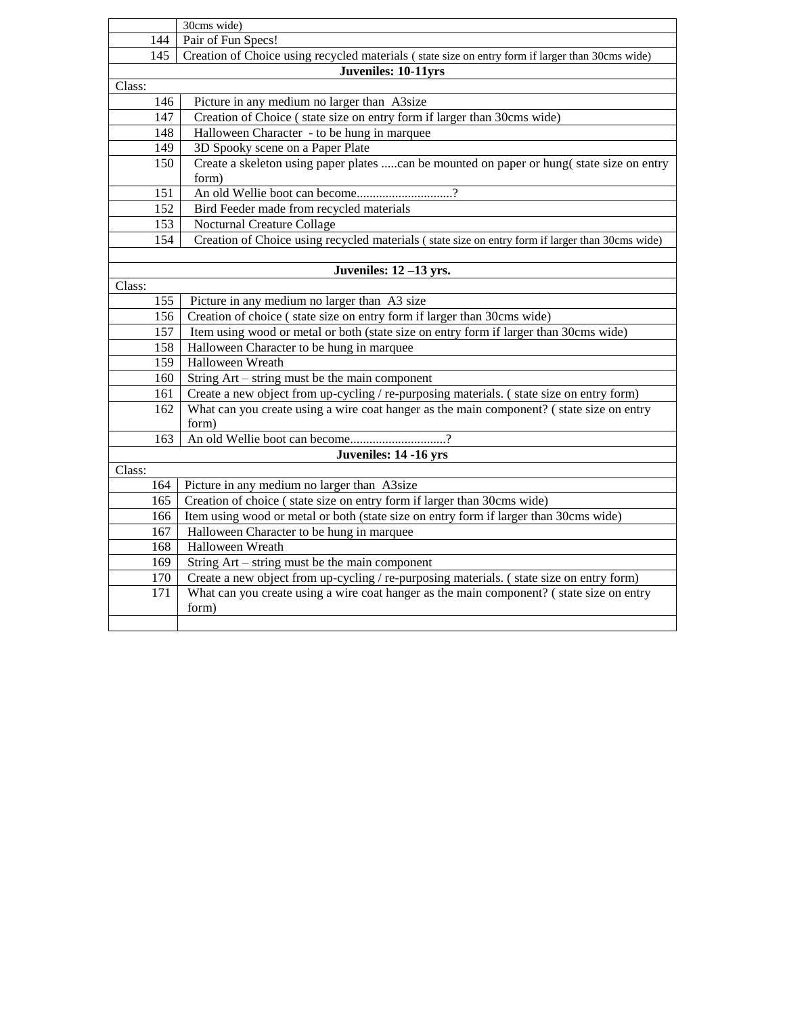|                  | 30cms wide)                                                                                      |
|------------------|--------------------------------------------------------------------------------------------------|
| 144              | Pair of Fun Specs!                                                                               |
| $\overline{145}$ | Creation of Choice using recycled materials (state size on entry form if larger than 30cms wide) |
|                  | Juveniles: 10-11yrs                                                                              |
| Class:           |                                                                                                  |
| 146              | Picture in any medium no larger than A3size                                                      |
| 147              | Creation of Choice (state size on entry form if larger than 30cms wide)                          |
| 148              | Halloween Character - to be hung in marquee                                                      |
| 149              | 3D Spooky scene on a Paper Plate                                                                 |
| 150              | Create a skeleton using paper plates can be mounted on paper or hung(state size on entry         |
|                  | form)                                                                                            |
| 151              | An old Wellie boot can become?                                                                   |
| 152              | Bird Feeder made from recycled materials                                                         |
| 153              | Nocturnal Creature Collage                                                                       |
| 154              | Creation of Choice using recycled materials (state size on entry form if larger than 30cms wide) |
|                  |                                                                                                  |
|                  | Juveniles: $12 - 13$ yrs.                                                                        |
| Class:           |                                                                                                  |
| 155              | Picture in any medium no larger than A3 size                                                     |
| 156              | Creation of choice (state size on entry form if larger than 30cms wide)                          |
| 157              | Item using wood or metal or both (state size on entry form if larger than 30cms wide)            |
| 158              | Halloween Character to be hung in marquee                                                        |
| 159              | Halloween Wreath                                                                                 |
| 160              | String Art – string must be the main component                                                   |
| 161              | Create a new object from up-cycling / re-purposing materials. (state size on entry form)         |
| 162              | What can you create using a wire coat hanger as the main component? (state size on entry         |
|                  | form)                                                                                            |
| 163              | An old Wellie boot can become?                                                                   |
|                  | Juveniles: 14 -16 yrs                                                                            |
| Class:           |                                                                                                  |
| 164              | Picture in any medium no larger than A3size                                                      |
| 165              | Creation of choice (state size on entry form if larger than 30cms wide)                          |
| 166              | Item using wood or metal or both (state size on entry form if larger than 30cms wide)            |
| 167              | Halloween Character to be hung in marquee                                                        |
| 168              | Halloween Wreath                                                                                 |
| 169              | String $Art - string$ must be the main component                                                 |
| 170              | Create a new object from up-cycling / re-purposing materials. (state size on entry form)         |
| 171              | What can you create using a wire coat hanger as the main component? (state size on entry         |
|                  | form)                                                                                            |
|                  |                                                                                                  |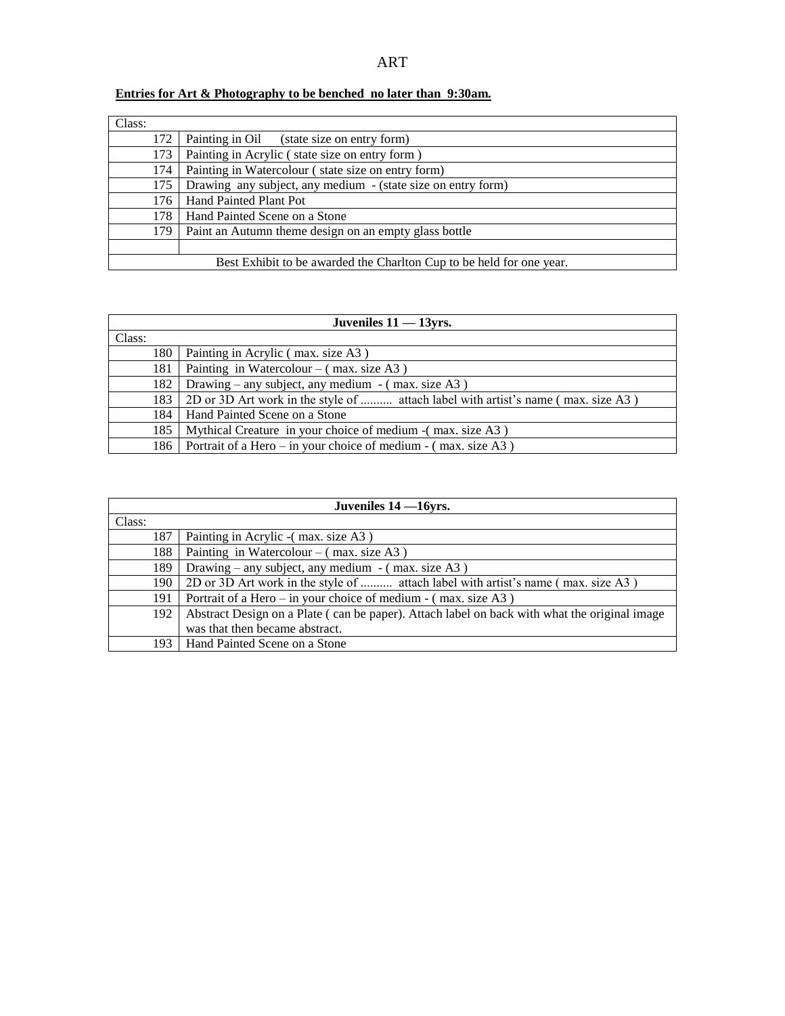## **Entries for Art & Photography to be benched no later than 9:30am.**

| Class: |                                                                      |
|--------|----------------------------------------------------------------------|
| 172    | Painting in Oil<br>(state size on entry form)                        |
| 173    | Painting in Acrylic (state size on entry form)                       |
| 174    | Painting in Watercolour (state size on entry form)                   |
| 175    | Drawing any subject, any medium - (state size on entry form)         |
| 176    | Hand Painted Plant Pot                                               |
| 178    | Hand Painted Scene on a Stone                                        |
| 179    | Paint an Autumn theme design on an empty glass bottle                |
|        |                                                                      |
|        | Best Exhibit to be awarded the Charlton Cup to be held for one year. |

| Juveniles $11 - 13$ yrs. |                                                                                         |  |  |
|--------------------------|-----------------------------------------------------------------------------------------|--|--|
| Class:                   |                                                                                         |  |  |
|                          | 180   Painting in Acrylic (max. size A3)                                                |  |  |
|                          | 181   Painting in Watercolour – (max. size A3)                                          |  |  |
|                          | 182   Drawing – any subject, any medium – (max. size A3)                                |  |  |
|                          | 183   2D or 3D Art work in the style of  attach label with artist's name (max. size A3) |  |  |
|                          | 184   Hand Painted Scene on a Stone                                                     |  |  |
|                          | 185   Mythical Creature in your choice of medium - (max. size A3)                       |  |  |
|                          | 186   Portrait of a Hero – in your choice of medium - (max. size A3)                    |  |  |

| Juveniles $14 - 16$ yrs. |                                                                                              |  |
|--------------------------|----------------------------------------------------------------------------------------------|--|
| Class:                   |                                                                                              |  |
| 187                      | Painting in Acrylic - (max. size A3)                                                         |  |
| 188                      | Painting in Watercolour – $(max. size A3)$                                                   |  |
| 189                      | Drawing – any subject, any medium – $(max. size A3)$                                         |  |
| 190                      | 2D or 3D Art work in the style of  attach label with artist's name (max. size A3)            |  |
| 191                      | Portrait of a Hero – in your choice of medium - (max. size A3)                               |  |
| 192                      | Abstract Design on a Plate (can be paper). Attach label on back with what the original image |  |
|                          | was that then became abstract.                                                               |  |
| 193 l                    | Hand Painted Scene on a Stone                                                                |  |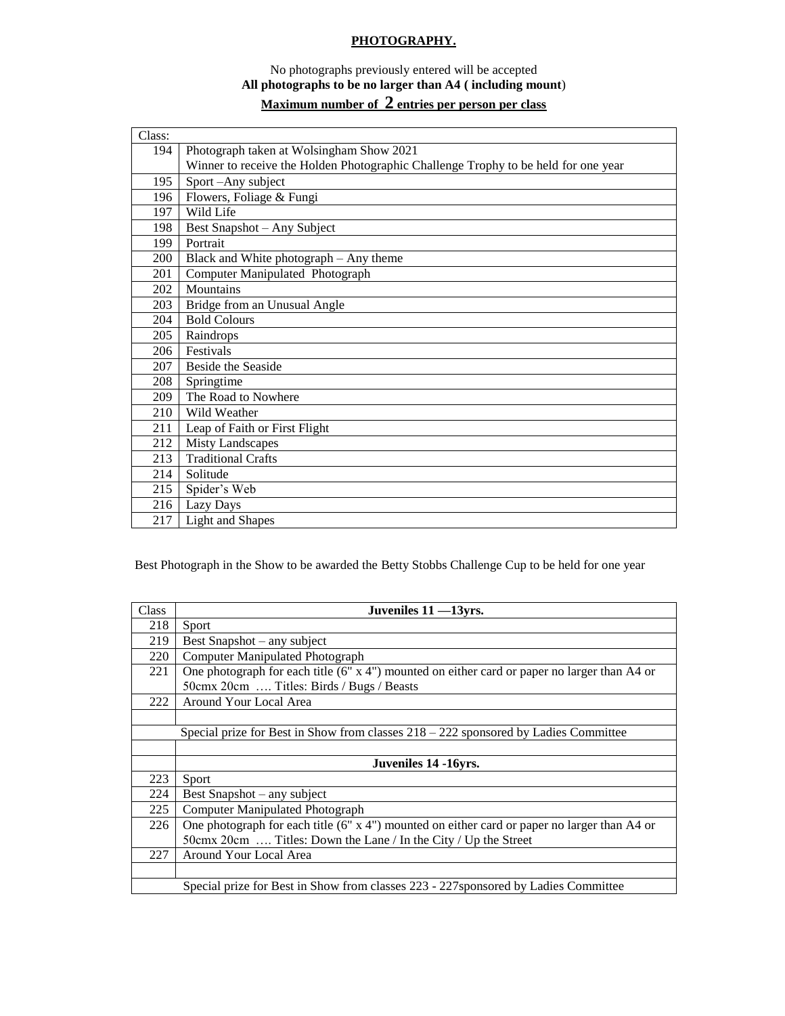## **PHOTOGRAPHY.**

## No photographs previously entered will be accepted **All photographs to be no larger than A4 ( including mount**)

# **Maximum number of 2 entries per person per class**

| Class: |                                                                                    |
|--------|------------------------------------------------------------------------------------|
| 194    | Photograph taken at Wolsingham Show 2021                                           |
|        | Winner to receive the Holden Photographic Challenge Trophy to be held for one year |
| 195    | Sport-Any subject                                                                  |
| 196    | Flowers, Foliage & Fungi                                                           |
| 197    | Wild Life                                                                          |
| 198    | Best Snapshot - Any Subject                                                        |
| 199    | Portrait                                                                           |
| 200    | Black and White photograph - Any theme                                             |
| 201    | Computer Manipulated Photograph                                                    |
| 202    | Mountains                                                                          |
| 203    | Bridge from an Unusual Angle                                                       |
| 204    | <b>Bold Colours</b>                                                                |
| 205    | Raindrops                                                                          |
| 206    | Festivals                                                                          |
| 207    | <b>Beside the Seaside</b>                                                          |
| 208    | Springtime                                                                         |
| 209    | The Road to Nowhere                                                                |
| 210    | Wild Weather                                                                       |
| 211    | Leap of Faith or First Flight                                                      |
| 212    | <b>Misty Landscapes</b>                                                            |
| 213    | <b>Traditional Crafts</b>                                                          |
| 214    | Solitude                                                                           |
| 215    | Spider's Web                                                                       |
| 216    | Lazy Days                                                                          |
| 217    | <b>Light and Shapes</b>                                                            |

Best Photograph in the Show to be awarded the Betty Stobbs Challenge Cup to be held for one year

| Class                                                                               | Juveniles 11 -13yrs.                                                                                  |  |  |  |
|-------------------------------------------------------------------------------------|-------------------------------------------------------------------------------------------------------|--|--|--|
| 218                                                                                 | Sport                                                                                                 |  |  |  |
| 219                                                                                 | Best Snapshot – any subject                                                                           |  |  |  |
| 220                                                                                 | Computer Manipulated Photograph                                                                       |  |  |  |
| 221                                                                                 | One photograph for each title (6" x 4") mounted on either card or paper no larger than A4 or          |  |  |  |
|                                                                                     | 50cmx 20cm  Titles: Birds / Bugs / Beasts                                                             |  |  |  |
| 222                                                                                 | Around Your Local Area                                                                                |  |  |  |
|                                                                                     |                                                                                                       |  |  |  |
|                                                                                     | Special prize for Best in Show from classes $218 - 222$ sponsored by Ladies Committee                 |  |  |  |
|                                                                                     |                                                                                                       |  |  |  |
| Juveniles 14 -16 yrs.                                                               |                                                                                                       |  |  |  |
| 223                                                                                 | Sport                                                                                                 |  |  |  |
| 224                                                                                 | Best Snapshot – any subject                                                                           |  |  |  |
| 225                                                                                 | Computer Manipulated Photograph                                                                       |  |  |  |
| 226                                                                                 | One photograph for each title $(6'' \times 4'')$ mounted on either card or paper no larger than A4 or |  |  |  |
|                                                                                     | 50cmx 20cm  Titles: Down the Lane / In the City / Up the Street                                       |  |  |  |
| 227                                                                                 | Around Your Local Area                                                                                |  |  |  |
|                                                                                     |                                                                                                       |  |  |  |
| Special prize for Best in Show from classes 223 - 227 sponsored by Ladies Committee |                                                                                                       |  |  |  |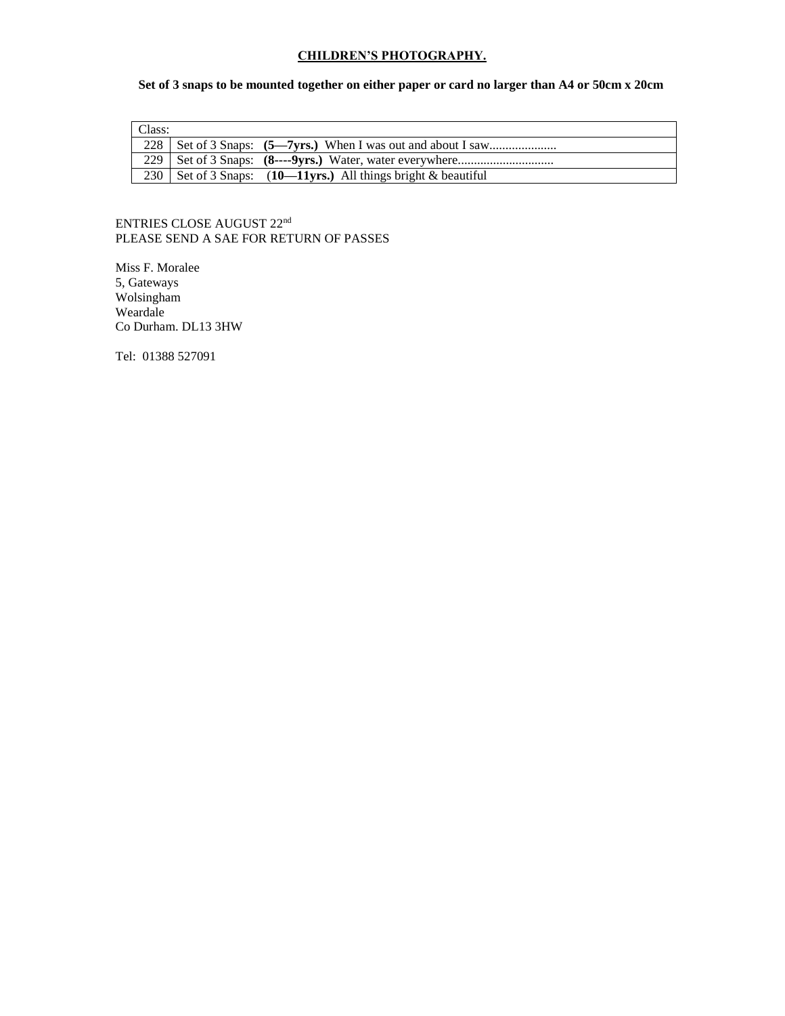#### **CHILDREN'S PHOTOGRAPHY.**

### **Set of 3 snaps to be mounted together on either paper or card no larger than A4 or 50cm x 20cm**

| Class: |                                                                   |
|--------|-------------------------------------------------------------------|
|        |                                                                   |
|        |                                                                   |
|        | 230   Set of 3 Snaps: $(10-11yrs.)$ All things bright & beautiful |

#### ENTRIES CLOSE AUGUST 22<sup>nd</sup> PLEASE SEND A SAE FOR RETURN OF PASSES

Miss F. Moralee 5, Gateways Wolsingham Weardale Co Durham. DL13 3HW

Tel: 01388 527091